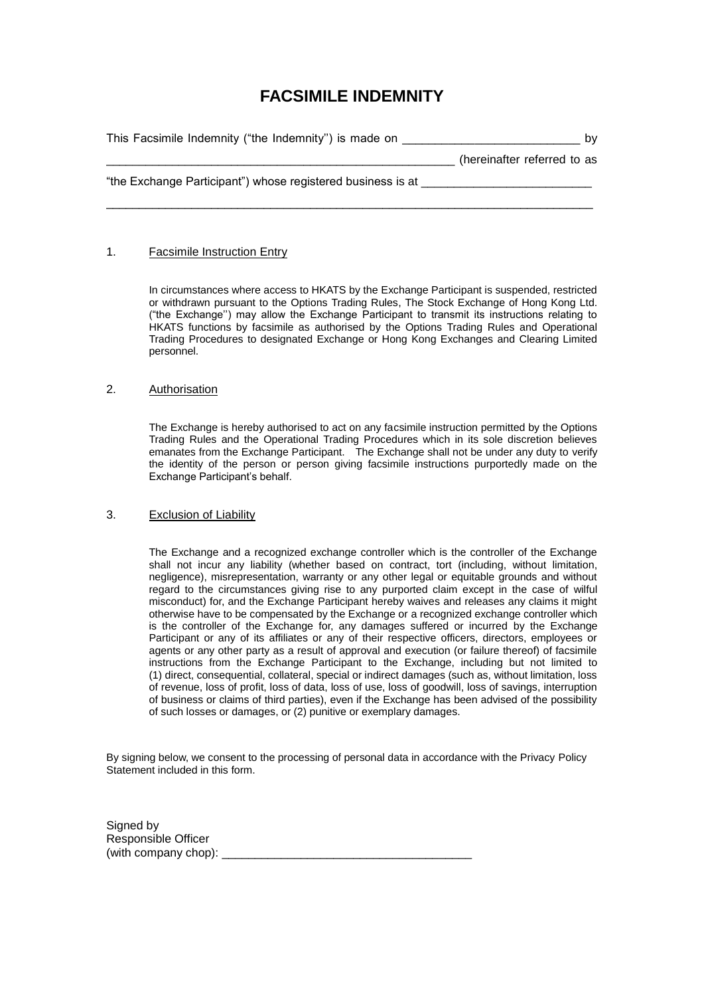# **FACSIMILE INDEMNITY**

| This Facsimile Indemnity ("the Indemnity") is made on       | b٧                          |
|-------------------------------------------------------------|-----------------------------|
|                                                             | (hereinafter referred to as |
| "the Exchange Participant") whose registered business is at |                             |
|                                                             |                             |

# 1. Facsimile Instruction Entry

In circumstances where access to HKATS by the Exchange Participant is suspended, restricted or withdrawn pursuant to the Options Trading Rules, The Stock Exchange of Hong Kong Ltd. ("the Exchange'') may allow the Exchange Participant to transmit its instructions relating to HKATS functions by facsimile as authorised by the Options Trading Rules and Operational Trading Procedures to designated Exchange or Hong Kong Exchanges and Clearing Limited personnel.

# 2. Authorisation

The Exchange is hereby authorised to act on any facsimile instruction permitted by the Options Trading Rules and the Operational Trading Procedures which in its sole discretion believes emanates from the Exchange Participant. The Exchange shall not be under any duty to verify the identity of the person or person giving facsimile instructions purportedly made on the Exchange Participant's behalf.

# 3. Exclusion of Liability

The Exchange and a recognized exchange controller which is the controller of the Exchange shall not incur any liability (whether based on contract, tort (including, without limitation, negligence), misrepresentation, warranty or any other legal or equitable grounds and without regard to the circumstances giving rise to any purported claim except in the case of wilful misconduct) for, and the Exchange Participant hereby waives and releases any claims it might otherwise have to be compensated by the Exchange or a recognized exchange controller which is the controller of the Exchange for, any damages suffered or incurred by the Exchange Participant or any of its affiliates or any of their respective officers, directors, employees or agents or any other party as a result of approval and execution (or failure thereof) of facsimile instructions from the Exchange Participant to the Exchange, including but not limited to (1) direct, consequential, collateral, special or indirect damages (such as, without limitation, loss of revenue, loss of profit, loss of data, loss of use, loss of goodwill, loss of savings, interruption of business or claims of third parties), even if the Exchange has been advised of the possibility of such losses or damages, or (2) punitive or exemplary damages.

By signing below, we consent to the processing of personal data in accordance with the Privacy Policy Statement included in this form.

Signed by Responsible Officer (with company chop):